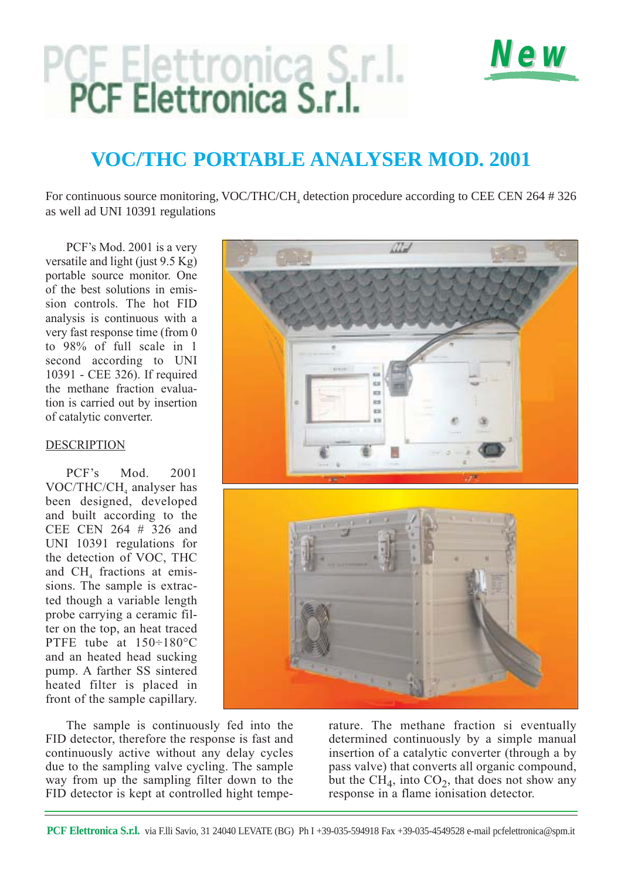# PCF Elettronica S.r.I.<br>PCF Elettronica S.r.I.



# **VOC/THC PORTABLE ANALYSER MOD. 2001**

For continuous source monitoring, VOC/THC/CH, detection procedure according to CEE CEN 264 # 326 as well ad UNI 10391 regulations

PCF's Mod. 2001 is a very versatile and light (just 9.5 Kg) portable source monitor. One of the best solutions in emission controls. The hot FID analysis is continuous with a very fast response time (from 0 to 98% of full scale in 1 second according to UNI 10391 - CEE 326). If required the methane fraction evaluation is carried out by insertion of catalytic converter.

### DESCRIPTION

PCF's Mod. 2001 VOC/THC/CH<sub>4</sub> analyser has been designed, developed and built according to the CEE CEN 264 # 326 and UNI 10391 regulations for the detection of VOC, THC and CH<sub>4</sub> fractions at emissions. The sample is extracted though a variable length probe carrying a ceramic filter on the top, an heat traced PTFE tube at 150÷180°C and an heated head sucking pump. A farther SS sintered heated filter is placed in front of the sample capillary.

The sample is continuously fed into the FID detector, therefore the response is fast and continuously active without any delay cycles due to the sampling valve cycling. The sample way from up the sampling filter down to the FID detector is kept at controlled hight temperature. The methane fraction si eventually determined continuously by a simple manual insertion of a catalytic converter (through a by pass valve) that converts all organic compound, but the  $\overline{\text{CH}}_4$ , into  $\overline{\text{CO}}_2$ , that does not show any response in a flame ionisation detector.